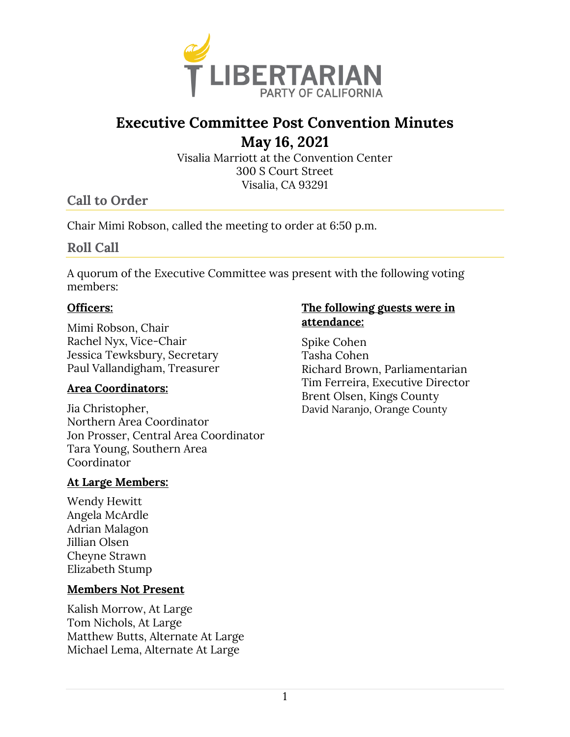

# **Executive Committee Post Convention Minutes**

 **May 16, 2021** 

Visalia Marriott at the Convention Center 300 S Court Street Visalia, CA 93291

# **Call to Order**

Chair Mimi Robson, called the meeting to order at 6:50 p.m.

# **Roll Call**

A quorum of the Executive Committee was present with the following voting members:

### **Officers:**

Mimi Robson, Chair Rachel Nyx, Vice-Chair Jessica Tewksbury, Secretary Paul Vallandigham, Treasurer

# **Area Coordinators:**

Jia Christopher, Northern Area Coordinator Jon Prosser, Central Area Coordinator Tara Young, Southern Area Coordinator

# **At Large Members:**

Wendy Hewitt Angela McArdle Adrian Malagon Jillian Olsen Cheyne Strawn Elizabeth Stump

#### **Members Not Present**

Kalish Morrow, At Large Tom Nichols, At Large Matthew Butts, Alternate At Large Michael Lema, Alternate At Large

# **The following guests were in attendance:**

Spike Cohen Tasha Cohen Richard Brown, Parliamentarian Tim Ferreira, Executive Director Brent Olsen, Kings County David Naranjo, Orange County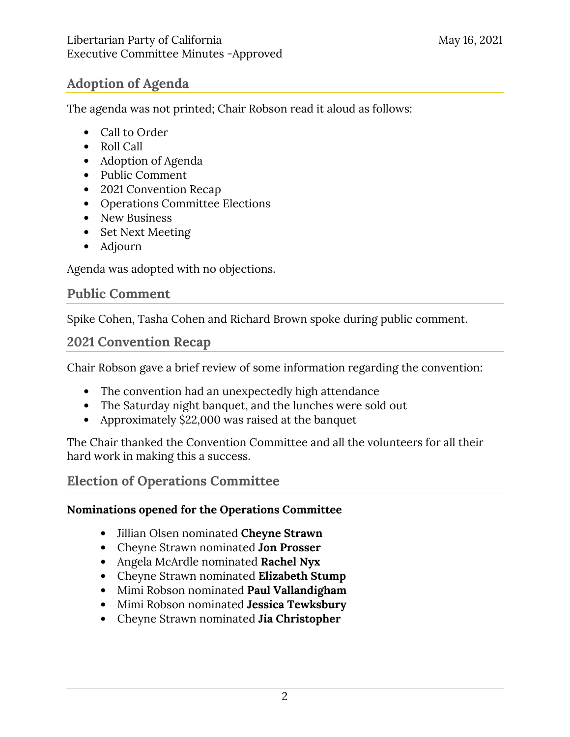# **Adoption of Agenda**

The agenda was not printed; Chair Robson read it aloud as follows:

- Call to Order
- Roll Call
- Adoption of Agenda
- Public Comment
- 2021 Convention Recap
- Operations Committee Elections
- New Business
- Set Next Meeting
- Adjourn

Agenda was adopted with no objections.

# **Public Comment**

Spike Cohen, Tasha Cohen and Richard Brown spoke during public comment.

# **2021 Convention Recap**

Chair Robson gave a brief review of some information regarding the convention:

- The convention had an unexpectedly high attendance
- The Saturday night banquet, and the lunches were sold out
- Approximately \$22,000 was raised at the banquet

The Chair thanked the Convention Committee and all the volunteers for all their hard work in making this a success.

# **Election of Operations Committee**

# **Nominations opened for the Operations Committee**

- Jillian Olsen nominated **Cheyne Strawn**
- Cheyne Strawn nominated **Jon Prosser**
- Angela McArdle nominated **Rachel Nyx**
- Cheyne Strawn nominated **Elizabeth Stump**
- Mimi Robson nominated **Paul Vallandigham**
- Mimi Robson nominated **Jessica Tewksbury**
- Cheyne Strawn nominated **Jia Christopher**